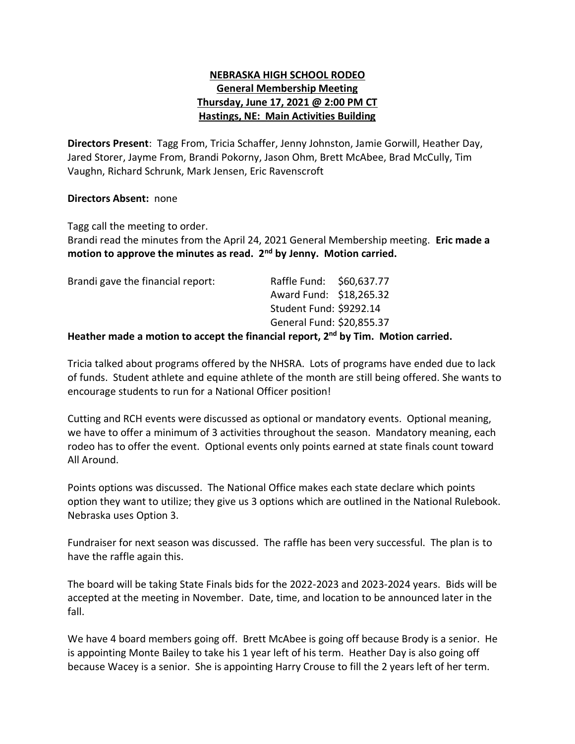## **NEBRASKA HIGH SCHOOL RODEO General Membership Meeting Thursday, June 17, 2021 @ 2:00 PM CT Hastings, NE: Main Activities Building**

**Directors Present**: Tagg From, Tricia Schaffer, Jenny Johnston, Jamie Gorwill, Heather Day, Jared Storer, Jayme From, Brandi Pokorny, Jason Ohm, Brett McAbee, Brad McCully, Tim Vaughn, Richard Schrunk, Mark Jensen, Eric Ravenscroft

## **Directors Absent:** none

Tagg call the meeting to order.

Brandi read the minutes from the April 24, 2021 General Membership meeting. **Eric made a motion to approve the minutes as read. 2nd by Jenny. Motion carried.**

| Brandi gave the financial report:                                                          | Raffle Fund: \$60,637.77<br>Award Fund: \$18,265.32 |  |
|--------------------------------------------------------------------------------------------|-----------------------------------------------------|--|
|                                                                                            | Student Fund: \$9292.14                             |  |
|                                                                                            | General Fund: \$20,855.37                           |  |
| Heather made a motion to accent the financial report 2 <sup>nd</sup> by Tim Motion carried |                                                     |  |

## **Heather made a motion to accept the financial report, 2 nd by Tim. Motion carried.**

Tricia talked about programs offered by the NHSRA. Lots of programs have ended due to lack of funds. Student athlete and equine athlete of the month are still being offered. She wants to encourage students to run for a National Officer position!

Cutting and RCH events were discussed as optional or mandatory events. Optional meaning, we have to offer a minimum of 3 activities throughout the season. Mandatory meaning, each rodeo has to offer the event. Optional events only points earned at state finals count toward All Around.

Points options was discussed. The National Office makes each state declare which points option they want to utilize; they give us 3 options which are outlined in the National Rulebook. Nebraska uses Option 3.

Fundraiser for next season was discussed. The raffle has been very successful. The plan is to have the raffle again this.

The board will be taking State Finals bids for the 2022-2023 and 2023-2024 years. Bids will be accepted at the meeting in November. Date, time, and location to be announced later in the fall.

We have 4 board members going off. Brett McAbee is going off because Brody is a senior. He is appointing Monte Bailey to take his 1 year left of his term. Heather Day is also going off because Wacey is a senior. She is appointing Harry Crouse to fill the 2 years left of her term.